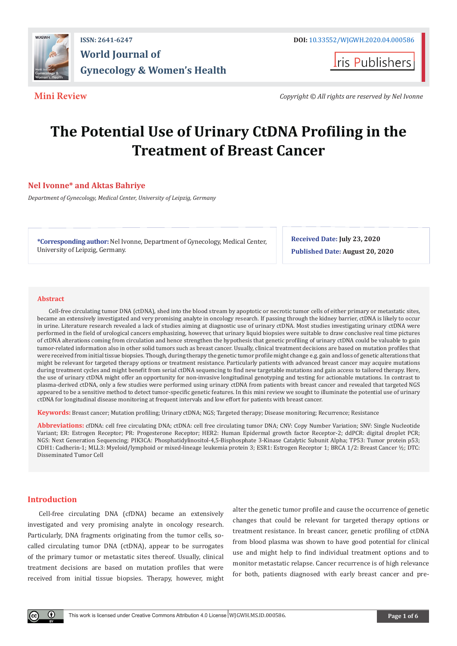

**Iris Publishers** 

**Mini Review** *Copyright © All rights are reserved by Nel Ivonne*

# **The Potential Use of Urinary CtDNA Profiling in the Treatment of Breast Cancer**

# **Nel Ivonne\* and Aktas Bahriye**

*Department of Gynecology, Medical Center, University of Leipzig, Germany*

**\*Corresponding author:** Nel Ivonne, Department of Gynecology, Medical Center, University of Leipzig, Germany.

**Received Date: July 23, 2020 Published Date: August 20, 2020**

#### **Abstract**

Cell-free circulating tumor DNA (ctDNA), shed into the blood stream by apoptotic or necrotic tumor cells of either primary or metastatic sites, became an extensively investigated and very promising analyte in oncology research. If passing through the kidney barrier, ctDNA is likely to occur in urine. Literature research revealed a lack of studies aiming at diagnostic use of urinary ctDNA. Most studies investigating urinary ctDNA were performed in the field of urological cancers emphasizing, however, that urinary liquid biopsies were suitable to draw conclusive real time pictures of ctDNA alterations coming from circulation and hence strengthen the hypothesis that genetic profiling of urinary ctDNA could be valuable to gain tumor-related information also in other solid tumors such as breast cancer. Usually, clinical treatment decisions are based on mutation profiles that were received from initial tissue biopsies. Though, during therapy the genetic tumor profile might change e.g. gain and loss of genetic alterations that might be relevant for targeted therapy options or treatment resistance. Particularly patients with advanced breast cancer may acquire mutations during treatment cycles and might benefit from serial ctDNA sequencing to find new targetable mutations and gain access to tailored therapy. Here, the use of urinary ctDNA might offer an opportunity for non-invasive longitudinal genotyping and testing for actionable mutations. In contrast to plasma-derived ctDNA, only a few studies were performed using urinary ctDNA from patients with breast cancer and revealed that targeted NGS appeared to be a sensitive method to detect tumor-specific genetic features. In this mini review we sought to illuminate the potential use of urinary ctDNA for longitudinal disease monitoring at frequent intervals and low effort for patients with breast cancer.

**Keywords:** Breast cancer; Mutation profiling; Urinary ctDNA; NGS; Targeted therapy; Disease monitoring; Recurrence; Resistance

**Abbreviations:** cfDNA: cell free circulating DNA; ctDNA: cell free circulating tumor DNA; CNV: Copy Number Variation; SNV: Single Nucleotide Variant; ER: Estrogen Receptor; PR: Progesterone Receptor; HER2: Human Epidermal growth factor Receptor-2; ddPCR: digital droplet PCR; NGS: Next Generation Sequencing; PIK3CA: Phosphatidylinositol-4,5-Bisphosphate 3-Kinase Catalytic Subunit Alpha; TP53: Tumor protein p53; CDH1: Cadherin-1; MLL3: Myeloid/lymphoid or mixed-lineage leukemia protein 3; ESR1: Estrogen Receptor 1; BRCA 1/2: Breast Cancer ½; DTC: Disseminated Tumor Cell

# **Introduction**

Cell-free circulating DNA (cfDNA) became an extensively investigated and very promising analyte in oncology research. Particularly, DNA fragments originating from the tumor cells, socalled circulating tumor DNA (ctDNA), appear to be surrogates of the primary tumor or metastatic sites thereof. Usually, clinical treatment decisions are based on mutation profiles that were received from initial tissue biopsies. Therapy, however, might

alter the genetic tumor profile and cause the occurrence of genetic changes that could be relevant for targeted therapy options or treatment resistance. In breast cancer, genetic profiling of ctDNA from blood plasma was shown to have good potential for clinical use and might help to find individual treatment options and to monitor metastatic relapse. Cancer recurrence is of high relevance for both, patients diagnosed with early breast cancer and pre-

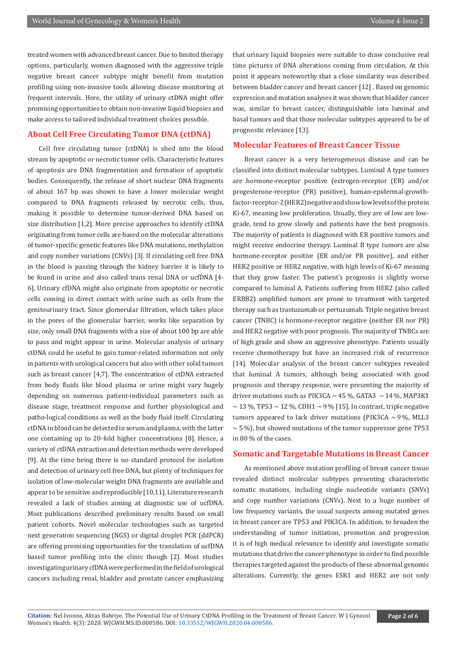treated women with advanced breast cancer. Due to limited therapy options, particularly, women diagnosed with the aggressive triple negative breast cancer subtype might benefit from mutation profiling using non-invasive tools allowing disease monitoring at frequent intervals. Here, the utility of urinary ctDNA might offer promising opportunities to obtain non-invasive liquid biopsies and make access to tailored individual treatment choices possible.

# **About Cell Free Circulating Tumor DNA (ctDNA)**

Cell free circulating tumor (ctDNA) is shed into the blood stream by apoptotic or necrotic tumor cells. Characteristic features of apoptosis are DNA fragmentation and formation of apoptotic bodies. Consequently, the release of short nuclear DNA fragments of about 167 bp was shown to have a lower molecular weight compared to DNA fragments released by necrotic cells, thus, making it possible to determine tumor-derived DNA based on size distribution [1,2]. More precise approaches to identify ctDNA originating from tumor cells are based on the molecular alterations of tumor-specific genetic features like DNA mutations, methylation and copy number variations (CNVs) [3]. If circulating cell free DNA in the blood is passing through the kidney barrier it is likely to be found in urine and also called trans renal DNA or ucfDNA [4- 6]. Urinary cfDNA might also originate from apoptotic or necrotic cells coming in direct contact with urine such as cells from the genitourinary tract. Since glomerular filtration, which takes place in the pores of the glomerular barrier, works like separation by size, only small DNA fragments with a size of about 100 bp are able to pass and might appear in urine. Molecular analysis of urinary ctDNA could be useful to gain tumor-related information not only in patients with urological cancers but also with other solid tumors such as breast cancer [4,7]. The concentration of ctDNA extracted from body fluids like blood plasma or urine might vary hugely depending on numerous patient-individual parameters such as disease stage, treatment response and further physiological and patho-logical conditions as well as the body fluid itself. Circulating ctDNA in blood can be detected in serum and plasma, with the latter one containing up to 20-fold higher concentrations [8]. Hence, a variety of ctDNA extraction and detection methods were developed [9]. At the time being there is no standard protocol for isolation and detection of urinary cell free DNA, but plenty of techniques for isolation of low-molecular weight DNA fragments are available and appear to be sensitive and reproducible [10,11]. Literature research revealed a lack of studies aiming at diagnostic use of ucfDNA. Most publications described preliminary results based on small patient cohorts. Novel molecular technologies such as targeted next generation sequencing (NGS) or digital droplet PCR (ddPCR) are offering promising opportunities for the translation of ucfDNA based tumor profiling into the clinic though [2]. Most studies investigating urinary cfDNA were performed in the field of urological cancers including renal, bladder and prostate cancer emphasizing

that urinary liquid biopsies were suitable to draw conclusive real time pictures of DNA alterations coming from circulation. At this point it appears noteworthy that a close similarity was described between bladder cancer and breast cancer [12] . Based on genomic expression and mutation analyses it was shown that bladder cancer was, similar to breast cancer, distinguishable into luminal and basal tumors and that those molecular subtypes appeared to be of prognostic relevance [13].

#### **Molecular Features of Breast Cancer Tissue**

Breast cancer is a very heterogeneous disease and can be classified into distinct molecular subtypes. Luminal A type tumors are hormone-receptor positive (estrogen-receptor (ER) and/or progesterone-receptor (PR) positive), human-epidermal-growthfactor-receptor-2 (HER2) negative and show low levels of the protein Ki-67, meaning low proliferation. Usually, they are of low are lowgrade, tend to grow slowly and patients have the best prognosis. The majority of patients is diagnosed with ER positive tumors and might receive endocrine therapy. Luminal B type tumors are also hormone-receptor positive (ER and/or PR positive), and either HER2 positive or HER2 negative, with high levels of Ki-67 meaning that they grow faster. The patient's prognosis is slightly worse compared to luminal A. Patients suffering from HER2 (also called ERBB2) amplified tumors are prone to treatment with targeted therapy such as trastuzumab or pertuzumab. Triple negative breast cancer (TNBC) is hormone-receptor negative (neither ER nor PR) and HER2 negative with poor prognosis. The majority of TNBCs are of high grade and show an aggressive phenotype. Patients usually receive chemotherapy but have an increased risk of recurrence [14]. Molecular analysis of the breast cancer subtypes revealed that luminal A tumors, although being associated with good prognosis and therapy response, were presenting the majority of driver mutations such as PIK3CA  $\sim$  45 %, GATA3  $\sim$  14 %, MAP3K1  $\sim$  13 %, TP53  $\sim$  12 %, CDH1  $\sim$  9 % [15]. In contrast, triple negative tumors appeared to lack driver mutations (PIK3CA  $\sim$  9%, MLL3  $\sim$  5 %), but showed mutations of the tumor suppressor gene TP53 in 80 % of the cases.

#### **Somatic and Targetable Mutations in Breast Cancer**

As mentioned above mutation profiling of breast cancer tissue revealed distinct molecular subtypes presenting characteristic somatic mutations, including single nucleotide variants (SNVs) and copy number variations (CNVs). Next to a huge number of low frequency variants, the usual suspects among mutated genes in breast cancer are TP53 and PIK3CA. In addition, to broaden the understanding of tumor initiation, promotion and progression it is of high medical relevance to identify and investigate somatic mutations that drive the cancer phenotype in order to find possible therapies targeted against the products of these abnormal genomic alterations. Currently, the genes ESR1 and HER2 are not only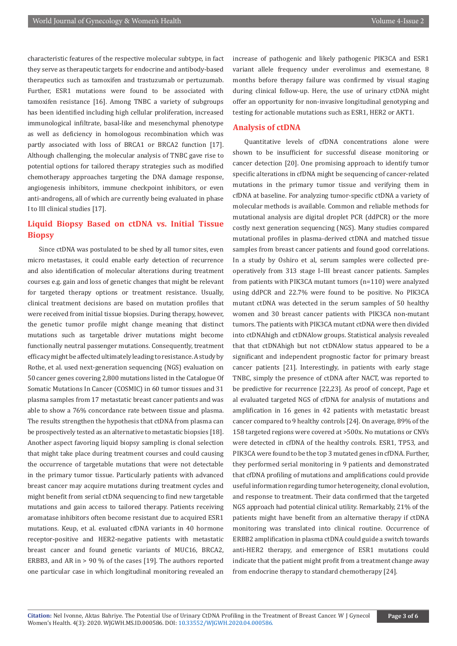characteristic features of the respective molecular subtype, in fact they serve as therapeutic targets for endocrine and antibody-based therapeutics such as tamoxifen and trastuzumab or pertuzumab. Further, ESR1 mutations were found to be associated with tamoxifen resistance [16]. Among TNBC a variety of subgroups has been identified including high cellular proliferation, increased immunological infiltrate, basal-like and mesenchymal phenotype as well as deficiency in homologous recombination which was partly associated with loss of BRCA1 or BRCA2 function [17]. Although challenging, the molecular analysis of TNBC gave rise to potential options for tailored therapy strategies such as modified chemotherapy approaches targeting the DNA damage response, angiogenesis inhibitors, immune checkpoint inhibitors, or even anti-androgens, all of which are currently being evaluated in phase I to III clinical studies [17].

# **Liquid Biopsy Based on ctDNA vs. Initial Tissue Biopsy**

Since ctDNA was postulated to be shed by all tumor sites, even micro metastases, it could enable early detection of recurrence and also identification of molecular alterations during treatment courses e.g. gain and loss of genetic changes that might be relevant for targeted therapy options or treatment resistance. Usually, clinical treatment decisions are based on mutation profiles that were received from initial tissue biopsies. During therapy, however, the genetic tumor profile might change meaning that distinct mutations such as targetable driver mutations might become functionally neutral passenger mutations. Consequently, treatment efficacy might be affected ultimately leading to resistance. A study by Rothe, et al. used next-generation sequencing (NGS) evaluation on 50 cancer genes covering 2,800 mutations listed in the Catalogue Of Somatic Mutations In Cancer (COSMIC) in 60 tumor tissues and 31 plasma samples from 17 metastatic breast cancer patients and was able to show a 76% concordance rate between tissue and plasma. The results strengthen the hypothesis that ctDNA from plasma can be prospectively tested as an alternative to metastatic biopsies [18]. Another aspect favoring liquid biopsy sampling is clonal selection that might take place during treatment courses and could causing the occurrence of targetable mutations that were not detectable in the primary tumor tissue. Particularly patients with advanced breast cancer may acquire mutations during treatment cycles and might benefit from serial ctDNA sequencing to find new targetable mutations and gain access to tailored therapy. Patients receiving aromatase inhibitors often become resistant due to acquired ESR1 mutations. Keup, et al. evaluated cfDNA variants in 40 hormone receptor-positive and HER2-negative patients with metastatic breast cancer and found genetic variants of MUC16, BRCA2, ERBB3, and AR in > 90 % of the cases [19]. The authors reported one particular case in which longitudinal monitoring revealed an

increase of pathogenic and likely pathogenic PIK3CA and ESR1 variant allele frequency under everolimus and exemestane, 8 months before therapy failure was confirmed by visual staging during clinical follow-up. Here, the use of urinary ctDNA might offer an opportunity for non-invasive longitudinal genotyping and testing for actionable mutations such as ESR1, HER2 or AKT1.

#### **Analysis of ctDNA**

Quantitative levels of cfDNA concentrations alone were shown to be insufficient for successful disease monitoring or cancer detection [20]. One promising approach to identify tumor specific alterations in cfDNA might be sequencing of cancer-related mutations in the primary tumor tissue and verifying them in cfDNA at baseline. For analyzing tumor-specific ctDNA a variety of molecular methods is available. Common and reliable methods for mutational analysis are digital droplet PCR (ddPCR) or the more costly next generation sequencing (NGS). Many studies compared mutational profiles in plasma-derived ctDNA and matched tissue samples from breast cancer patients and found good correlations. In a study by Oshiro et al, serum samples were collected preoperatively from 313 stage I–III breast cancer patients. Samples from patients with PIK3CA mutant tumors (n=110) were analyzed using ddPCR and 22.7% were found to be positive. No PIK3CA mutant ctDNA was detected in the serum samples of 50 healthy women and 30 breast cancer patients with PIK3CA non-mutant tumors. The patients with PIK3CA mutant ctDNA were then divided into ctDNAhigh and ctDNAlow groups. Statistical analysis revealed that that ctDNAhigh but not ctDNAlow status appeared to be a significant and independent prognostic factor for primary breast cancer patients [21]. Interestingly, in patients with early stage TNBC, simply the presence of ctDNA after NACT, was reported to be predictive for recurrence [22,23]. As proof of concept, Page et al evaluated targeted NGS of cfDNA for analysis of mutations and amplification in 16 genes in 42 patients with metastatic breast cancer compared to 9 healthy controls [24]. On average, 89% of the 158 targeted regions were covered at >500x. No mutations or CNVs were detected in cfDNA of the healthy controls. ESR1, TP53, and PIK3CA were found to be the top 3 mutated genes in cfDNA. Further, they performed serial monitoring in 9 patients and demonstrated that cfDNA profiling of mutations and amplifications could provide useful information regarding tumor heterogeneity, clonal evolution, and response to treatment. Their data confirmed that the targeted NGS approach had potential clinical utility. Remarkably, 21% of the patients might have benefit from an alternative therapy if ctDNA monitoring was translated into clinical routine. Occurrence of ERBB2 amplification in plasma ctDNA could guide a switch towards anti-HER2 therapy, and emergence of ESR1 mutations could indicate that the patient might profit from a treatment change away from endocrine therapy to standard chemotherapy [24].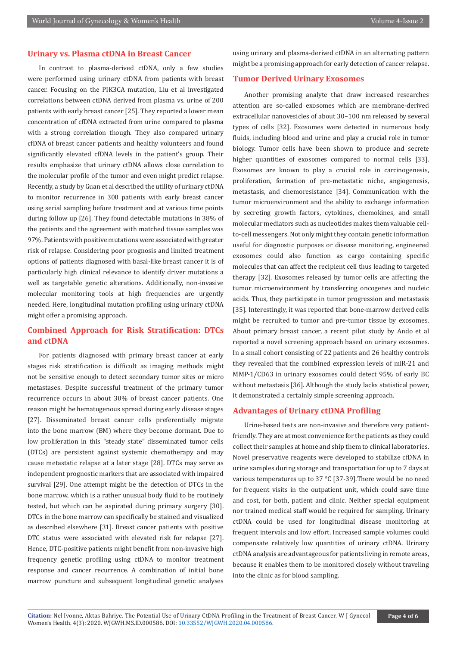## **Urinary vs. Plasma ctDNA in Breast Cancer**

In contrast to plasma-derived ctDNA, only a few studies were performed using urinary ctDNA from patients with breast cancer. Focusing on the PIK3CA mutation, Liu et al investigated correlations between ctDNA derived from plasma vs. urine of 200 patients with early breast cancer [25]. They reported a lower mean concentration of cfDNA extracted from urine compared to plasma with a strong correlation though. They also compared urinary cfDNA of breast cancer patients and healthy volunteers and found significantly elevated cfDNA levels in the patient's group. Their results emphasize that urinary ctDNA allows close correlation to the molecular profile of the tumor and even might predict relapse. Recently, a study by Guan et al described the utility of urinary ctDNA to monitor recurrence in 300 patients with early breast cancer using serial sampling before treatment and at various time points during follow up [26]. They found detectable mutations in 38% of the patients and the agreement with matched tissue samples was 97%. Patients with positive mutations were associated with greater risk of relapse. Considering poor prognosis and limited treatment options of patients diagnosed with basal-like breast cancer it is of particularly high clinical relevance to identify driver mutations a well as targetable genetic alterations. Additionally, non-invasive molecular monitoring tools at high frequencies are urgently needed. Here, longitudinal mutation profiling using urinary ctDNA might offer a promising approach.

# **Combined Approach for Risk Stratification: DTCs and ctDNA**

For patients diagnosed with primary breast cancer at early stages risk stratification is difficult as imaging methods might not be sensitive enough to detect secondary tumor sites or micro metastases. Despite successful treatment of the primary tumor recurrence occurs in about 30% of breast cancer patients. One reason might be hematogenous spread during early disease stages [27]. Disseminated breast cancer cells preferentially migrate into the bone marrow (BM) where they become dormant. Due to low proliferation in this "steady state" disseminated tumor cells (DTCs) are persistent against systemic chemotherapy and may cause metastatic relapse at a later stage [28]. DTCs may serve as independent prognostic markers that are associated with impaired survival [29]. One attempt might be the detection of DTCs in the bone marrow, which is a rather unusual body fluid to be routinely tested, but which can be aspirated during primary surgery [30]. DTCs in the bone marrow can specifically be stained and visualized as described elsewhere [31]. Breast cancer patients with positive DTC status were associated with elevated risk for relapse [27]. Hence, DTC-positive patients might benefit from non-invasive high frequency genetic profiling using ctDNA to monitor treatment response and cancer recurrence. A combination of initial bone marrow puncture and subsequent longitudinal genetic analyses

using urinary and plasma-derived ctDNA in an alternating pattern might be a promising approach for early detection of cancer relapse.

# **Tumor Derived Urinary Exosomes**

Another promising analyte that draw increased researches attention are so-called exosomes which are membrane-derived extracellular nanovesicles of about 30–100 nm released by several types of cells [32]. Exosomes were detected in numerous body fluids, including blood and urine and play a crucial role in tumor biology. Tumor cells have been shown to produce and secrete higher quantities of exosomes compared to normal cells [33]. Exosomes are known to play a crucial role in carcinogenesis, proliferation, formation of pre-metastatic niche, angiogenesis, metastasis, and chemoresistance [34]. Communication with the tumor microenvironment and the ability to exchange information by secreting growth factors, cytokines, chemokines, and small molecular mediators such as nucleotides makes them valuable cellto-cell messengers. Not only might they contain genetic information useful for diagnostic purposes or disease monitoring, engineered exosomes could also function as cargo containing specific molecules that can affect the recipient cell thus leading to targeted therapy [32]. Exosomes released by tumor cells are affecting the tumor microenvironment by transferring oncogenes and nucleic acids. Thus, they participate in tumor progression and metastasis [35]. Interestingly, it was reported that bone-marrow derived cells might be recruited to tumor and pre-tumor tissue by exosomes. About primary breast cancer, a recent pilot study by Ando et al reported a novel screening approach based on urinary exosomes. In a small cohort consisting of 22 patients and 26 healthy controls they revealed that the combined expression levels of miR-21 and MMP-1/CD63 in urinary exosomes could detect 95% of early BC without metastasis [36]. Although the study lacks statistical power, it demonstrated a certainly simple screening approach.

#### **Advantages of Urinary ctDNA Profiling**

Urine-based tests are non-invasive and therefore very patientfriendly. They are at most convenience for the patients as they could collect their samples at home and ship them to clinical laboratories. Novel preservative reagents were developed to stabilize cfDNA in urine samples during storage and transportation for up to 7 days at various temperatures up to 37 °C [37-39].There would be no need for frequent visits in the outpatient unit, which could save time and cost, for both, patient and clinic. Neither special equipment nor trained medical staff would be required for sampling. Urinary ctDNA could be used for longitudinal disease monitoring at frequent intervals and low effort. Increased sample volumes could compensate relatively low quantities of urinary ctDNA. Urinary ctDNA analysis are advantageous for patients living in remote areas, because it enables them to be monitored closely without traveling into the clinic as for blood sampling.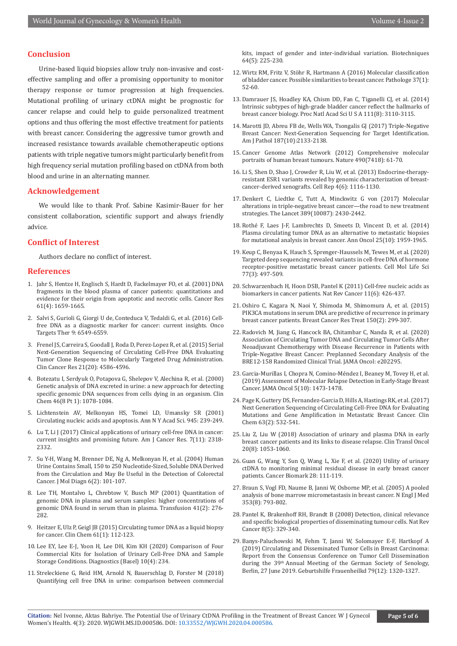#### **Conclusion**

Urine-based liquid biopsies allow truly non-invasive and costeffective sampling and offer a promising opportunity to monitor therapy response or tumor progression at high frequencies. Mutational profiling of urinary ctDNA might be prognostic for cancer relapse and could help to guide personalized treatment options and thus offering the most effective treatment for patients with breast cancer. Considering the aggressive tumor growth and increased resistance towards available chemotherapeutic options patients with triple negative tumors might particularly benefit from high frequency serial mutation profiling based on ctDNA from both blood and urine in an alternating manner.

#### **Acknowledgement**

We would like to thank Prof. Sabine Kasimir-Bauer for her consistent collaboration, scientific support and always friendly advice.

#### **Conflict of Interest**

Authors declare no conflict of interest.

### **References**

- 1. [Jahr S, Hentze H, Englisch S, Hardt D, Fackelmayer FO, et al. \(2001\) DNA](https://pubmed.ncbi.nlm.nih.gov/11245480/)  [fragments in the blood plasma of cancer patients: quantitations and](https://pubmed.ncbi.nlm.nih.gov/11245480/)  [evidence for their origin from apoptotic and necrotic cells. Cancer Res](https://pubmed.ncbi.nlm.nih.gov/11245480/)  [61\(4\): 1659-1665.](https://pubmed.ncbi.nlm.nih.gov/11245480/)
- 2. [Salvi S, Gurioli G, Giorgi U de, Conteduca V, Tedaldi G, et al. \(2016\) Cell](https://pubmed.ncbi.nlm.nih.gov/27822059/)[free DNA as a diagnostic marker for cancer: current insights. Onco](https://pubmed.ncbi.nlm.nih.gov/27822059/)  [Targets Ther 9: 6549-6559.](https://pubmed.ncbi.nlm.nih.gov/27822059/)
- 3. [Frenel JS, Carreira S, Goodall J, Roda D, Perez-Lopez R, et al. \(2015\) Serial](https://pubmed.ncbi.nlm.nih.gov/26085511/)  [Next-Generation Sequencing of Circulating Cell-Free DNA Evaluating](https://pubmed.ncbi.nlm.nih.gov/26085511/)  [Tumor Clone Response to Molecularly Targeted Drug Administration.](https://pubmed.ncbi.nlm.nih.gov/26085511/)  [Clin Cancer Res 21\(20\): 4586-4596.](https://pubmed.ncbi.nlm.nih.gov/26085511/)
- 4. [Botezatu I, Serdyuk O, Potapova G, Shelepov V, Alechina R, et al. \(2000\)](https://pubmed.ncbi.nlm.nih.gov/10926886/)  [Genetic analysis of DNA excreted in urine: a new approach for detecting](https://pubmed.ncbi.nlm.nih.gov/10926886/)  [specific genomic DNA sequences from cells dying in an organism. Clin](https://pubmed.ncbi.nlm.nih.gov/10926886/)  [Chem 46\(8 Pt 1\): 1078-1084.](https://pubmed.ncbi.nlm.nih.gov/10926886/)
- 5. [Lichtenstein AV, Melkonyan HS, Tomei LD, Umansky SR \(2001\)](https://pubmed.ncbi.nlm.nih.gov/11708486/)  [Circulating nucleic acids and apoptosis. Ann N Y Acad Sci. 945: 239-249.](https://pubmed.ncbi.nlm.nih.gov/11708486/)
- 6. [Lu T, Li J \(2017\) Clinical applications of urinary cell-free DNA in cancer:](https://pubmed.ncbi.nlm.nih.gov/29218253/)  [current insights and promising future. Am J Cancer Res. 7\(11\): 2318-](https://pubmed.ncbi.nlm.nih.gov/29218253/) [2332.](https://pubmed.ncbi.nlm.nih.gov/29218253/)
- 7. [Su Y-H, Wang M, Brenner DE, Ng A, Melkonyan H, et al. \(2004\) Human](https://pubmed.ncbi.nlm.nih.gov/15096565/)  [Urine Contains Small, 150 to 250 Nucleotide-Sized, Soluble DNA Derived](https://pubmed.ncbi.nlm.nih.gov/15096565/)  [from the Circulation and May Be Useful in the Detection of Colorectal](https://pubmed.ncbi.nlm.nih.gov/15096565/)  [Cancer. J Mol Diagn 6\(2\): 101-107.](https://pubmed.ncbi.nlm.nih.gov/15096565/)
- 8. [Lee TH, Montalvo L, Chrebtow V, Busch MP \(2001\) Quantitation of](https://pubmed.ncbi.nlm.nih.gov/11239235/)  [genomic DNA in plasma and serum samples: higher concentrations of](https://pubmed.ncbi.nlm.nih.gov/11239235/)  [genomic DNA found in serum than in plasma. Transfusion 41\(2\): 276-](https://pubmed.ncbi.nlm.nih.gov/11239235/) [282.](https://pubmed.ncbi.nlm.nih.gov/11239235/)
- 9. [Heitzer E, Ulz P, Geigl JB \(2015\) Circulating tumor DNA as a liquid biopsy](https://pubmed.ncbi.nlm.nih.gov/25388429/)  [for cancer. Clin Chem 61\(1\): 112-123.](https://pubmed.ncbi.nlm.nih.gov/25388429/)
- 10. [Lee EY, Lee E-J, Yoon H, Lee DH, Kim KH \(2020\) Comparison of Four](https://pubmed.ncbi.nlm.nih.gov/32325682/)  [Commercial Kits for Isolation of Urinary Cell-Free DNA and Sample](https://pubmed.ncbi.nlm.nih.gov/32325682/)  [Storage Conditions. Diagnostics \(Basel\) 10\(4\): 234.](https://pubmed.ncbi.nlm.nih.gov/32325682/)
- 11. [Streleckiene G, Reid HM, Arnold N, Bauerschlag D, Forster M \(2018\)](https://pubmed.ncbi.nlm.nih.gov/29793362/)  [Quantifying cell free DNA in urine: comparison between commercial](https://pubmed.ncbi.nlm.nih.gov/29793362/)

[kits, impact of gender and inter-individual variation. Biotechniques](https://pubmed.ncbi.nlm.nih.gov/29793362/) [64\(5\): 225-230.](https://pubmed.ncbi.nlm.nih.gov/29793362/)

- 12. [Wirtz RM, Fritz V, Stöhr R, Hartmann A \(2016\) Molecular classification](https://pubmed.ncbi.nlm.nih.gov/26780243/) [of bladder cancer. Possible similarities to breast cancer. Pathologe 37\(1\):](https://pubmed.ncbi.nlm.nih.gov/26780243/) [52-60.](https://pubmed.ncbi.nlm.nih.gov/26780243/)
- 13. [Damrauer JS, Hoadley KA, Chism DD, Fan C, Tiganelli CJ, et al. \(2014\)](https://pubmed.ncbi.nlm.nih.gov/24520177/) [Intrinsic subtypes of high-grade bladder cancer reflect the hallmarks of](https://pubmed.ncbi.nlm.nih.gov/24520177/) [breast cancer biology. Proc Natl Acad Sci U S A 111\(8\): 3110-3115.](https://pubmed.ncbi.nlm.nih.gov/24520177/)
- 14. [Marotti JD, Abreu FB de, Wells WA, Tsongalis GJ \(2017\) Triple-Negative](https://pubmed.ncbi.nlm.nih.gov/28734944/) [Breast Cancer: Next-Generation Sequencing for Target Identification.](https://pubmed.ncbi.nlm.nih.gov/28734944/) [Am J Pathol 187\(10\):2133-2138.](https://pubmed.ncbi.nlm.nih.gov/28734944/)
- 15. [Cancer Genome Atlas Network \(2012\) Comprehensive molecular](https://pubmed.ncbi.nlm.nih.gov/23000897/) [portraits of human breast tumours. Nature 490\(7418\): 61-70.](https://pubmed.ncbi.nlm.nih.gov/23000897/)
- 16. [Li S, Shen D, Shao J, Crowder R, Liu W, et al. \(2013\) Endocrine-therapy](https://pubmed.ncbi.nlm.nih.gov/24055055/)[resistant ESR1 variants revealed by genomic characterization of breast](https://pubmed.ncbi.nlm.nih.gov/24055055/)[cancer-derived xenografts. Cell Rep 4\(6\): 1116-1130.](https://pubmed.ncbi.nlm.nih.gov/24055055/)
- 17. [Denkert C, Liedtke C, Tutt A, Minckwitz G von \(2017\) Molecular](https://pubmed.ncbi.nlm.nih.gov/27939063/) [alterations in triple-negative breast cancer—the road to new treatment](https://pubmed.ncbi.nlm.nih.gov/27939063/) [strategies. The Lancet 389\(10087\): 2430-2442.](https://pubmed.ncbi.nlm.nih.gov/27939063/)
- 18. [Rothé F, Laes J-F, Lambrechts D, Smeets D, Vincent D, et al. \(2014\)](https://pubmed.ncbi.nlm.nih.gov/25185240/) [Plasma circulating tumor DNA as an alternative to metastatic biopsies](https://pubmed.ncbi.nlm.nih.gov/25185240/) [for mutational analysis in breast cancer. Ann Oncol 25\(10\): 1959-1965.](https://pubmed.ncbi.nlm.nih.gov/25185240/)
- 19. [Keup C, Benyaa K, Hauch S, Sprenger-Haussels M, Tewes M, et al. \(2020\)](https://pubmed.ncbi.nlm.nih.gov/31254045/) [Targeted deep sequencing revealed variants in cell-free DNA of hormone](https://pubmed.ncbi.nlm.nih.gov/31254045/) [receptor-positive metastatic breast cancer patients. Cell Mol Life Sci](https://pubmed.ncbi.nlm.nih.gov/31254045/) [77\(3\): 497-509.](https://pubmed.ncbi.nlm.nih.gov/31254045/)
- 20. [Schwarzenbach H, Hoon DSB, Pantel K \(2011\) Cell-free nucleic acids as](https://pubmed.ncbi.nlm.nih.gov/21562580/) [biomarkers in cancer patients. Nat Rev Cancer 11\(6\): 426-437.](https://pubmed.ncbi.nlm.nih.gov/21562580/)
- 21. [Oshiro C, Kagara N, Naoi Y, Shimoda M, Shimomura A, et al. \(2015\)](https://pubmed.ncbi.nlm.nih.gov/25736040/) [PIK3CA mutations in serum DNA are predictive of recurrence in primary](https://pubmed.ncbi.nlm.nih.gov/25736040/) [breast cancer patients. Breast Cancer Res Treat 150\(2\): 299-307.](https://pubmed.ncbi.nlm.nih.gov/25736040/)
- 22. [Radovich M, Jiang G, Hancock BA, Chitambar C, Nanda R, et al. \(2020\)](https://pubmed.ncbi.nlm.nih.gov/32644110/) [Association of Circulating Tumor DNA and Circulating Tumor Cells After](https://pubmed.ncbi.nlm.nih.gov/32644110/) [Neoadjuvant Chemotherapy with Disease Recurrence in Patients with](https://pubmed.ncbi.nlm.nih.gov/32644110/) [Triple-Negative Breast Cancer: Preplanned Secondary Analysis of the](https://pubmed.ncbi.nlm.nih.gov/32644110/) [BRE12-158 Randomized Clinical Trial. JAMA Oncol: e202295.](https://pubmed.ncbi.nlm.nih.gov/32644110/)
- 23. [Garcia-Murillas I, Chopra N, Comino-Méndez I, Beaney M, Tovey H, et al.](https://pubmed.ncbi.nlm.nih.gov/31369045/) [\(2019\) Assessment of Molecular Relapse Detection in Early-Stage Breast](https://pubmed.ncbi.nlm.nih.gov/31369045/) [Cancer. JAMA Oncol 5\(10\): 1473-1478.](https://pubmed.ncbi.nlm.nih.gov/31369045/)
- 24. [Page K, Guttery DS, Fernandez-Garcia D, Hills A, Hastings RK, et al. \(2017\)](https://pubmed.ncbi.nlm.nih.gov/27940449/) [Next Generation Sequencing of Circulating Cell-Free DNA for Evaluating](https://pubmed.ncbi.nlm.nih.gov/27940449/) [Mutations and Gene Amplification in Metastatic Breast Cancer. Clin](https://pubmed.ncbi.nlm.nih.gov/27940449/) [Chem 63\(2\): 532-541.](https://pubmed.ncbi.nlm.nih.gov/27940449/)
- 25. [Liu Z, Liu W \(2018\) Association of urinary and plasma DNA in early](https://pubmed.ncbi.nlm.nih.gov/29392540/) [breast cancer patients and its links to disease relapse. Clin Transl Oncol](https://pubmed.ncbi.nlm.nih.gov/29392540/) [20\(8\): 1053-1060.](https://pubmed.ncbi.nlm.nih.gov/29392540/)
- 26. Guan G, Wang Y, Sun Q, Wang L, Xie F, et al. (2020) Utility of urinary ctDNA to monitoring minimal residual disease in early breast cancer patients. Cancer Biomark 28: 111-119.
- 27. [Braun S, Vogl FD, Naume B, Janni W, Osborne MP, et al. \(2005\) A pooled](https://pubmed.ncbi.nlm.nih.gov/16120859/) [analysis of bone marrow micrometastasis in breast cancer. N Engl J Med](https://pubmed.ncbi.nlm.nih.gov/16120859/) [353\(8\): 793-802.](https://pubmed.ncbi.nlm.nih.gov/16120859/)
- 28. [Pantel K, Brakenhoff RH, Brandt B \(2008\) Detection, clinical relevance](https://pubmed.ncbi.nlm.nih.gov/18404148/) [and specific biological properties of disseminating tumour cells. Nat Rev](https://pubmed.ncbi.nlm.nih.gov/18404148/) [Cancer 8\(5\): 329-340.](https://pubmed.ncbi.nlm.nih.gov/18404148/)
- 29. [Banys-Paluchowski M, Fehm T, Janni W, Solomayer E-F, Hartkopf A](https://pubmed.ncbi.nlm.nih.gov/31875861/) [\(2019\) Circulating and Disseminated Tumor Cells in Breast Carcinoma:](https://pubmed.ncbi.nlm.nih.gov/31875861/) [Report from the Consensus Conference on Tumor Cell Dissemination](https://pubmed.ncbi.nlm.nih.gov/31875861/) during the 39<sup>th</sup> Annual Meeting of the German Society of Senology, [Berlin, 27 June 2019. Geburtshilfe Frauenheilkd 79\(12\): 1320-1327.](https://pubmed.ncbi.nlm.nih.gov/31875861/)